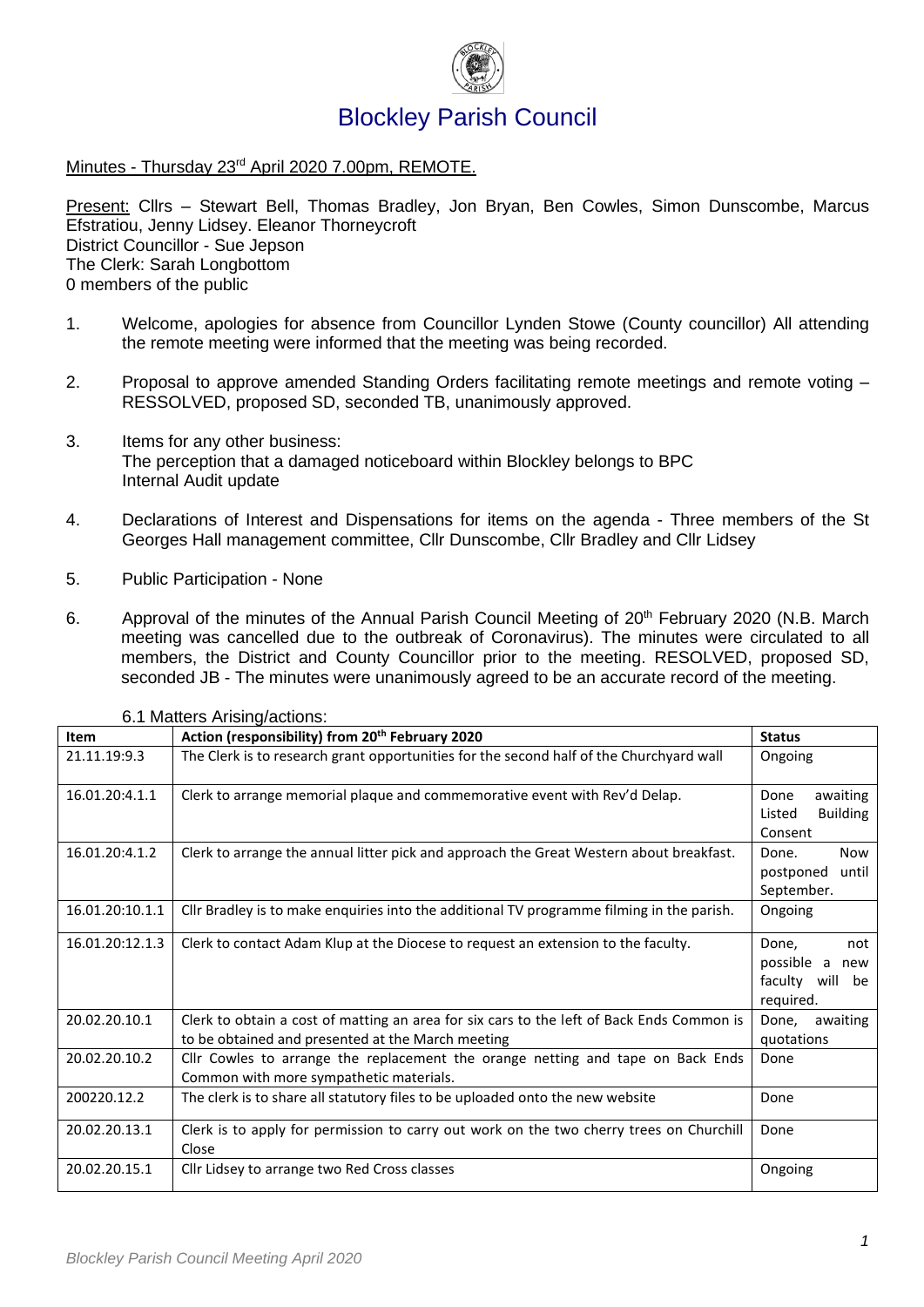

# Minutes - Thursday 23<sup>rd</sup> April 2020 7.00pm, REMOTE.

Present: Cllrs – Stewart Bell, Thomas Bradley, Jon Bryan, Ben Cowles, Simon Dunscombe, Marcus Efstratiou, Jenny Lidsey. Eleanor Thorneycroft District Councillor - Sue Jepson The Clerk: Sarah Longbottom 0 members of the public

- 1. Welcome, apologies for absence from Councillor Lynden Stowe (County councillor) All attending the remote meeting were informed that the meeting was being recorded.
- 2. Proposal to approve amended Standing Orders facilitating remote meetings and remote voting RESSOLVED, proposed SD, seconded TB, unanimously approved.
- 3. Items for any other business: The perception that a damaged noticeboard within Blockley belongs to BPC Internal Audit update
- 4. Declarations of Interest and Dispensations for items on the agenda Three members of the St Georges Hall management committee, Cllr Dunscombe, Cllr Bradley and Cllr Lidsey
- 5. Public Participation None
- 6. Approval of the minutes of the Annual Parish Council Meeting of 20<sup>th</sup> February 2020 (N.B. March meeting was cancelled due to the outbreak of Coronavirus). The minutes were circulated to all members, the District and County Councillor prior to the meeting. RESOLVED, proposed SD, seconded JB - The minutes were unanimously agreed to be an accurate record of the meeting.

| Item            | Action (responsibility) from 20 <sup>th</sup> February 2020                                                                                    | <b>Status</b>                                                     |
|-----------------|------------------------------------------------------------------------------------------------------------------------------------------------|-------------------------------------------------------------------|
| 21.11.19:9.3    | The Clerk is to research grant opportunities for the second half of the Churchyard wall                                                        | Ongoing                                                           |
| 16.01.20:4.1.1  | Clerk to arrange memorial plaque and commemorative event with Rev'd Delap.                                                                     | awaiting<br>Done<br><b>Building</b><br>Listed<br>Consent          |
| 16.01.20:4.1.2  | Clerk to arrange the annual litter pick and approach the Great Western about breakfast.                                                        | Done.<br><b>Now</b><br>until<br>postponed<br>September.           |
| 16.01.20:10.1.1 | Cllr Bradley is to make enquiries into the additional TV programme filming in the parish.                                                      | Ongoing                                                           |
| 16.01.20:12.1.3 | Clerk to contact Adam Klup at the Diocese to request an extension to the faculty.                                                              | Done,<br>not<br>possible a<br>new<br>faculty will be<br>required. |
| 20.02.20.10.1   | Clerk to obtain a cost of matting an area for six cars to the left of Back Ends Common is<br>to be obtained and presented at the March meeting | Done,<br>awaiting<br>quotations                                   |
| 20.02.20.10.2   | Cllr Cowles to arrange the replacement the orange netting and tape on Back Ends<br>Common with more sympathetic materials.                     | Done                                                              |
| 200220.12.2     | The clerk is to share all statutory files to be uploaded onto the new website                                                                  | Done                                                              |
| 20.02.20.13.1   | Clerk is to apply for permission to carry out work on the two cherry trees on Churchill<br>Close                                               | Done                                                              |
| 20.02.20.15.1   | Cllr Lidsey to arrange two Red Cross classes                                                                                                   | Ongoing                                                           |

6.1 Matters Arising/actions: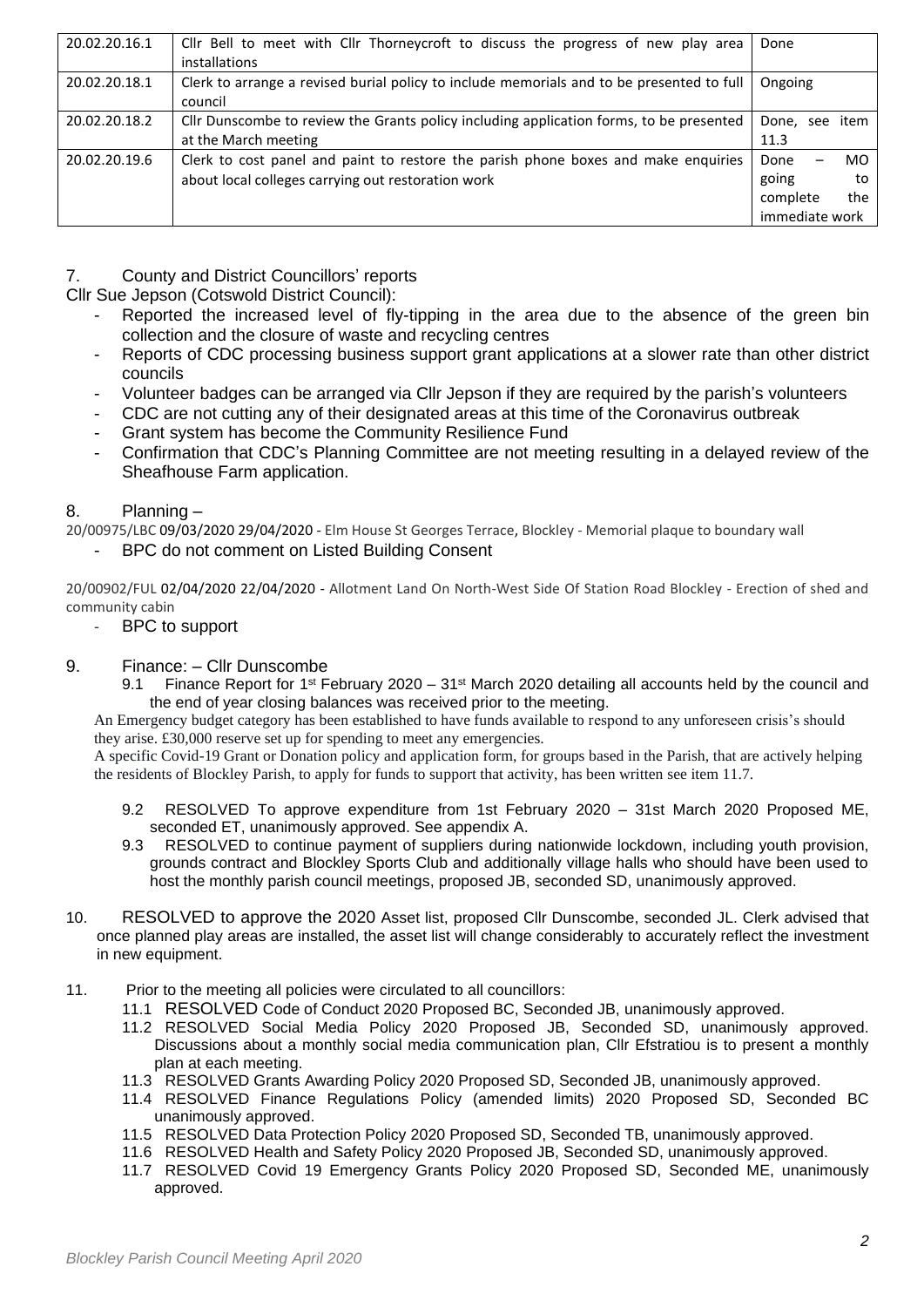| 20.02.20.16.1 | Cllr Bell to meet with Cllr Thorneycroft to discuss the progress of new play area         | Done           |     |  |
|---------------|-------------------------------------------------------------------------------------------|----------------|-----|--|
|               | installations                                                                             |                |     |  |
| 20.02.20.18.1 | Clerk to arrange a revised burial policy to include memorials and to be presented to full | Ongoing        |     |  |
|               | council                                                                                   |                |     |  |
| 20.02.20.18.2 | Cllr Dunscombe to review the Grants policy including application forms, to be presented   | Done, see item |     |  |
|               | at the March meeting                                                                      | 11.3           |     |  |
| 20.02.20.19.6 | Clerk to cost panel and paint to restore the parish phone boxes and make enquiries        | Done           | MO. |  |
|               | about local colleges carrying out restoration work                                        | going          | to  |  |
|               |                                                                                           | complete       | the |  |
|               |                                                                                           |                |     |  |

## 7. County and District Councillors' reports

Cllr Sue Jepson (Cotswold District Council):

- Reported the increased level of fly-tipping in the area due to the absence of the green bin collection and the closure of waste and recycling centres
- Reports of CDC processing business support grant applications at a slower rate than other district councils
- Volunteer badges can be arranged via Cllr Jepson if they are required by the parish's volunteers
- CDC are not cutting any of their designated areas at this time of the Coronavirus outbreak
- Grant system has become the Community Resilience Fund
- Confirmation that CDC's Planning Committee are not meeting resulting in a delayed review of the Sheafhouse Farm application.

## 8. Planning –

20/00975/LBC 09/03/2020 29/04/2020 - Elm House St Georges Terrace, Blockley - Memorial plaque to boundary wall

- BPC do not comment on Listed Building Consent

20/00902/FUL 02/04/2020 22/04/2020 - Allotment Land On North-West Side Of Station Road Blockley - Erection of shed and community cabin

BPC to support

### 9. Finance: – Cllr Dunscombe

9.1 Finance Report for 1<sup>st</sup> February 2020 – 31<sup>st</sup> March 2020 detailing all accounts held by the council and the end of year closing balances was received prior to the meeting.

An Emergency budget category has been established to have funds available to respond to any unforeseen crisis's should they arise. £30,000 reserve set up for spending to meet any emergencies.

A specific Covid-19 Grant or Donation policy and application form, for groups based in the Parish, that are actively helping the residents of Blockley Parish, to apply for funds to support that activity, has been written see item 11.7.

- 9.2 RESOLVED To approve expenditure from 1st February 2020 31st March 2020 Proposed ME, seconded ET, unanimously approved. See appendix A.
- 9.3 RESOLVED to continue payment of suppliers during nationwide lockdown, including youth provision, grounds contract and Blockley Sports Club and additionally village halls who should have been used to host the monthly parish council meetings, proposed JB, seconded SD, unanimously approved.
- 10. RESOLVED to approve the 2020 Asset list, proposed Cllr Dunscombe, seconded JL. Clerk advised that once planned play areas are installed, the asset list will change considerably to accurately reflect the investment in new equipment.
- 11. Prior to the meeting all policies were circulated to all councillors:
	- 11.1 RESOLVED Code of Conduct 2020 Proposed BC, Seconded JB, unanimously approved.
	- 11.2 RESOLVED Social Media Policy 2020 Proposed JB, Seconded SD, unanimously approved. Discussions about a monthly social media communication plan, Cllr Efstratiou is to present a monthly plan at each meeting.
	- 11.3 RESOLVED Grants Awarding Policy 2020 Proposed SD, Seconded JB, unanimously approved.
	- 11.4 RESOLVED Finance Regulations Policy (amended limits) 2020 Proposed SD, Seconded BC unanimously approved.
	- 11.5 RESOLVED Data Protection Policy 2020 Proposed SD, Seconded TB, unanimously approved.
	- 11.6 RESOLVED Health and Safety Policy 2020 Proposed JB, Seconded SD, unanimously approved.
	- 11.7 RESOLVED Covid 19 Emergency Grants Policy 2020 Proposed SD, Seconded ME, unanimously approved.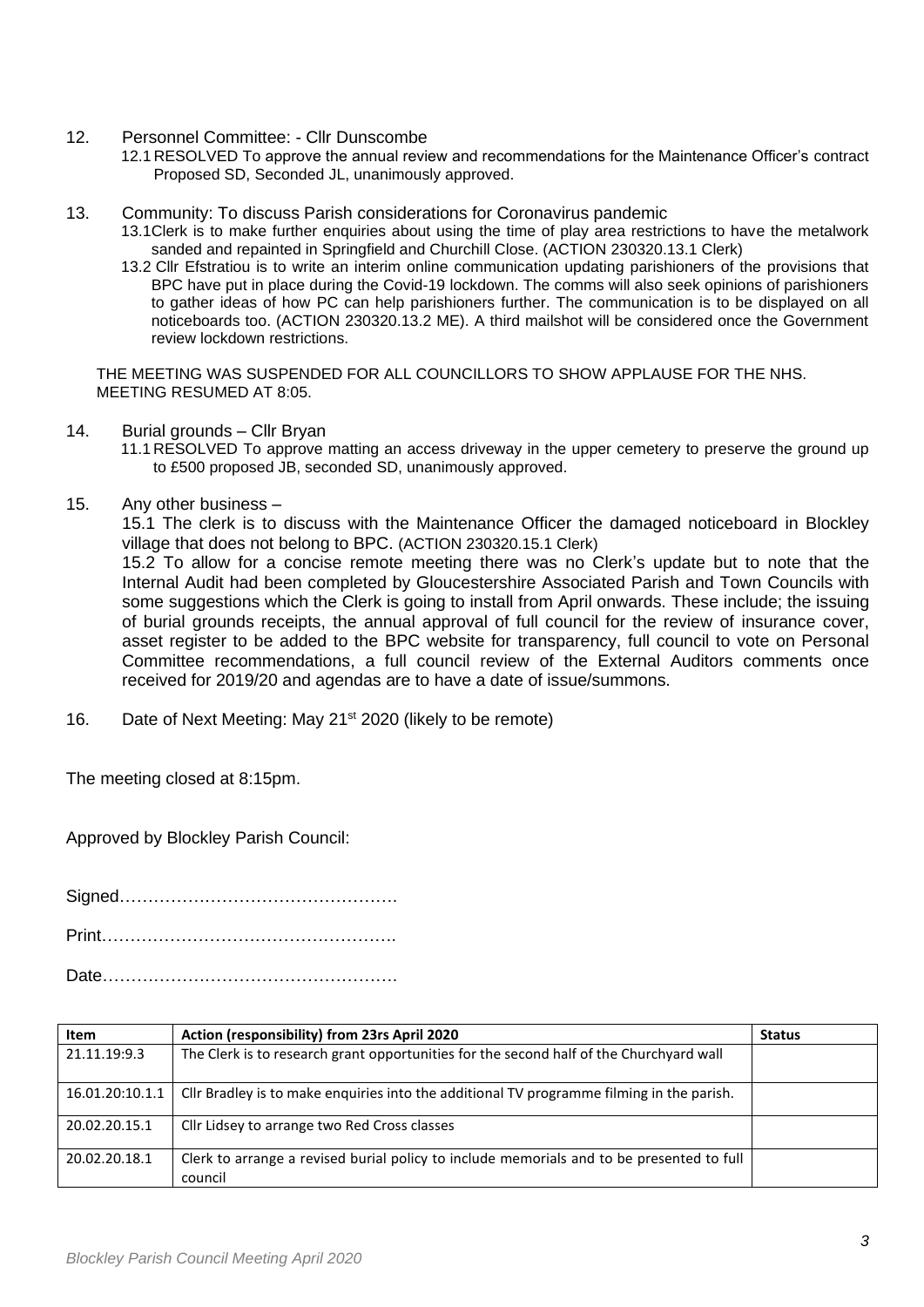- 12. Personnel Committee: Cllr Dunscombe
	- 12.1 RESOLVED To approve the annual review and recommendations for the Maintenance Officer's contract Proposed SD, Seconded JL, unanimously approved.
- 13. Community: To discuss Parish considerations for Coronavirus pandemic
	- 13.1Clerk is to make further enquiries about using the time of play area restrictions to have the metalwork sanded and repainted in Springfield and Churchill Close. (ACTION 230320.13.1 Clerk)
		- 13.2 Cllr Efstratiou is to write an interim online communication updating parishioners of the provisions that BPC have put in place during the Covid-19 lockdown. The comms will also seek opinions of parishioners to gather ideas of how PC can help parishioners further. The communication is to be displayed on all noticeboards too. (ACTION 230320.13.2 ME). A third mailshot will be considered once the Government review lockdown restrictions.

THE MEETING WAS SUSPENDED FOR ALL COUNCILLORS TO SHOW APPLAUSE FOR THE NHS. MEETING RESUMED AT 8:05.

- 14. Burial grounds Cllr Bryan
	- 11.1 RESOLVED To approve matting an access driveway in the upper cemetery to preserve the ground up to £500 proposed JB, seconded SD, unanimously approved.
- 15. Any other business –

15.1 The clerk is to discuss with the Maintenance Officer the damaged noticeboard in Blockley village that does not belong to BPC. (ACTION 230320.15.1 Clerk)

15.2 To allow for a concise remote meeting there was no Clerk's update but to note that the Internal Audit had been completed by Gloucestershire Associated Parish and Town Councils with some suggestions which the Clerk is going to install from April onwards. These include; the issuing of burial grounds receipts, the annual approval of full council for the review of insurance cover, asset register to be added to the BPC website for transparency, full council to vote on Personal Committee recommendations, a full council review of the External Auditors comments once received for 2019/20 and agendas are to have a date of issue/summons.

16. Date of Next Meeting: May 21<sup>st</sup> 2020 (likely to be remote)

The meeting closed at 8:15pm.

Approved by Blockley Parish Council:

Signed…………………………………………. Print…………………………………………….

Date…………………………………………….

| Item            | Action (responsibility) from 23rs April 2020                                              | <b>Status</b> |
|-----------------|-------------------------------------------------------------------------------------------|---------------|
| 21.11.19:9.3    | The Clerk is to research grant opportunities for the second half of the Churchyard wall   |               |
| 16.01.20:10.1.1 | Cllr Bradley is to make enquiries into the additional TV programme filming in the parish. |               |
| 20.02.20.15.1   | Cllr Lidsey to arrange two Red Cross classes                                              |               |
| 20.02.20.18.1   | Clerk to arrange a revised burial policy to include memorials and to be presented to full |               |
|                 | council                                                                                   |               |